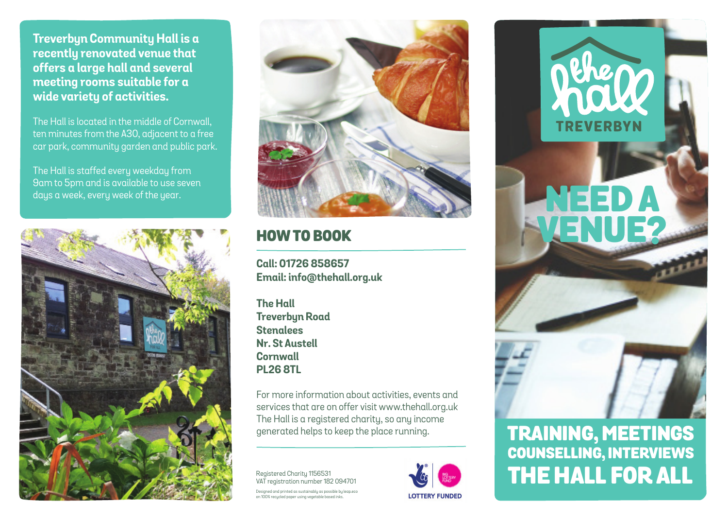**Treverbyn Community Hall is a recently renovated venue that offers a large hall and several meeting rooms suitable for a wide variety of activities.**

The Hall is located in the middle of Cornwall, ten minutes from the A30, adjacent to a free car park, community garden and public park.

The Hall is staffed every weekday from 9am to 5pm and is available to use seven days a week, every week of the year.





## HOW TO BOOK

**Call: 01726 858657 Email: info@thehall.org.uk**

**The Hall Treverbyn Road Stenalees Nr. St Austell Cornwall PL26 8TL**

For more information about activities, events and services that are on offer visit www.thehall.org.uk The Hall is a registered charity, so any income

Registered Charity 1156531 VAT registration number 182 094701 Designed and printed as sustainably as possible by leap.eco on 100% recycled paper using vegetable based inks.



# **TREVERBYN** NEED A VENUE?

# generated helps to keep the place running. TRAINING, MEETINGS COUNSELLING, INTERVIEWS THE HALL FOR ALL